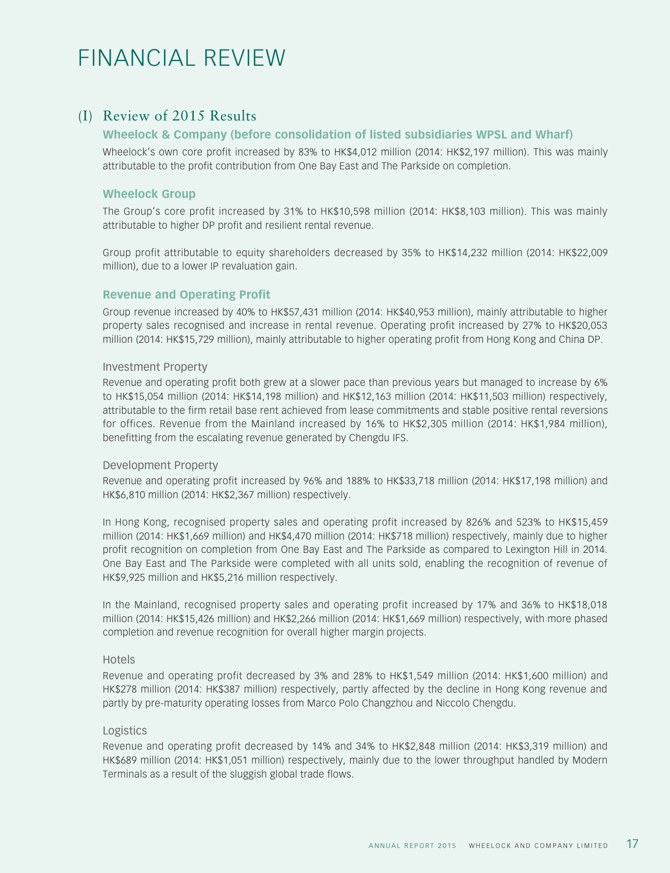# FINANCIAL REVIEW

# (I) Review of 2015 Results

## **Wheelock & Company (before consolidation of listed subsidiaries WPSL and Wharf)**

Wheelock's own core profit increased by 83% to HK\$4,012 million (2014: HK\$2,197 million). This was mainly attributable to the profit contribution from One Bay East and The Parkside on completion.

## **Wheelock Group**

The Group's core profit increased by 31% to HK\$10,598 million (2014: HK\$8,103 million). This was mainly attributable to higher DP profit and resilient rental revenue.

Group profit attributable to equity shareholders decreased by 35% to HK\$14,232 million (2014: HK\$22,009 million), due to a lower IP revaluation gain.

## **Revenue and Operating Profit**

Group revenue increased by 40% to HK\$57,431 million (2014: HK\$40,953 million), mainly attributable to higher property sales recognised and increase in rental revenue. Operating profit increased by 27% to HK\$20,053 million (2014: HK\$15,729 million), mainly attributable to higher operating profit from Hong Kong and China DP.

#### Investment Property

Revenue and operating profit both grew at a slower pace than previous years but managed to increase by 6% to HK\$15,054 million (2014: HK\$14,198 million) and HK\$12,163 million (2014: HK\$11,503 million) respectively, attributable to the firm retail base rent achieved from lease commitments and stable positive rental reversions for offices. Revenue from the Mainland increased by 16% to HK\$2,305 million (2014: HK\$1,984 million), benefitting from the escalating revenue generated by Chengdu IFS.

#### Development Property

Revenue and operating profit increased by 96% and 188% to HK\$33,718 million (2014: HK\$17,198 million) and HK\$6,810 million (2014: HK\$2,367 million) respectively.

In Hong Kong, recognised property sales and operating profit increased by 826% and 523% to HK\$15,459 million (2014: HK\$1,669 million) and HK\$4,470 million (2014: HK\$718 million) respectively, mainly due to higher profit recognition on completion from One Bay East and The Parkside as compared to Lexington Hill in 2014. One Bay East and The Parkside were completed with all units sold, enabling the recognition of revenue of HK\$9,925 million and HK\$5,216 million respectively.

In the Mainland, recognised property sales and operating profit increased by 17% and 36% to HK\$18,018 million (2014: HK\$15,426 million) and HK\$2,266 million (2014: HK\$1,669 million) respectively, with more phased completion and revenue recognition for overall higher margin projects.

#### Hotels

Revenue and operating profit decreased by 3% and 28% to HK\$1,549 million (2014: HK\$1,600 million) and HK\$278 million (2014: HK\$387 million) respectively, partly affected by the decline in Hong Kong revenue and partly by pre-maturity operating losses from Marco Polo Changzhou and Niccolo Chengdu.

#### Logistics

Revenue and operating profit decreased by 14% and 34% to HK\$2,848 million (2014: HK\$3,319 million) and HK\$689 million (2014: HK\$1,051 million) respectively, mainly due to the lower throughput handled by Modern Terminals as a result of the sluggish global trade flows.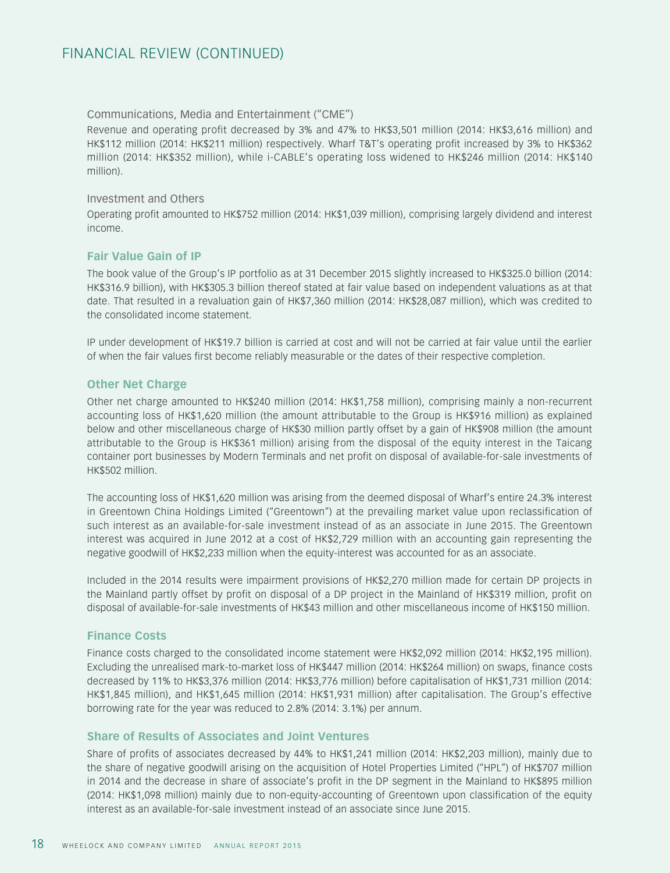#### Communications, Media and Entertainment ("CME")

Revenue and operating profit decreased by 3% and 47% to HK\$3,501 million (2014: HK\$3,616 million) and HK\$112 million (2014: HK\$211 million) respectively. Wharf T&T's operating profit increased by 3% to HK\$362 million (2014: HK\$352 million), while i-CABLE's operating loss widened to HK\$246 million (2014: HK\$140 million).

#### Investment and Others

Operating profit amounted to HK\$752 million (2014: HK\$1,039 million), comprising largely dividend and interest income.

## **Fair Value Gain of IP**

The book value of the Group's IP portfolio as at 31 December 2015 slightly increased to HK\$325.0 billion (2014: HK\$316.9 billion), with HK\$305.3 billion thereof stated at fair value based on independent valuations as at that date. That resulted in a revaluation gain of HK\$7,360 million (2014: HK\$28,087 million), which was credited to the consolidated income statement.

IP under development of HK\$19.7 billion is carried at cost and will not be carried at fair value until the earlier of when the fair values first become reliably measurable or the dates of their respective completion.

## **Other Net Charge**

Other net charge amounted to HK\$240 million (2014: HK\$1,758 million), comprising mainly a non-recurrent accounting loss of HK\$1,620 million (the amount attributable to the Group is HK\$916 million) as explained below and other miscellaneous charge of HK\$30 million partly offset by a gain of HK\$908 million (the amount attributable to the Group is HK\$361 million) arising from the disposal of the equity interest in the Taicang container port businesses by Modern Terminals and net profit on disposal of available-for-sale investments of HK\$502 million.

The accounting loss of HK\$1,620 million was arising from the deemed disposal of Wharf's entire 24.3% interest in Greentown China Holdings Limited ("Greentown") at the prevailing market value upon reclassification of such interest as an available-for-sale investment instead of as an associate in June 2015. The Greentown interest was acquired in June 2012 at a cost of HK\$2,729 million with an accounting gain representing the negative goodwill of HK\$2,233 million when the equity-interest was accounted for as an associate.

Included in the 2014 results were impairment provisions of HK\$2,270 million made for certain DP projects in the Mainland partly offset by profit on disposal of a DP project in the Mainland of HK\$319 million, profit on disposal of available-for-sale investments of HK\$43 million and other miscellaneous income of HK\$150 million.

## **Finance Costs**

Finance costs charged to the consolidated income statement were HK\$2,092 million (2014: HK\$2,195 million). Excluding the unrealised mark-to-market loss of HK\$447 million (2014: HK\$264 million) on swaps, finance costs decreased by 11% to HK\$3,376 million (2014: HK\$3,776 million) before capitalisation of HK\$1,731 million (2014: HK\$1,845 million), and HK\$1,645 million (2014: HK\$1,931 million) after capitalisation. The Group's effective borrowing rate for the year was reduced to 2.8% (2014: 3.1%) per annum.

## **Share of Results of Associates and Joint Ventures**

Share of profits of associates decreased by 44% to HK\$1,241 million (2014: HK\$2,203 million), mainly due to the share of negative goodwill arising on the acquisition of Hotel Properties Limited ("HPL") of HK\$707 million in 2014 and the decrease in share of associate's profit in the DP segment in the Mainland to HK\$895 million (2014: HK\$1,098 million) mainly due to non-equity-accounting of Greentown upon classification of the equity interest as an available-for-sale investment instead of an associate since June 2015.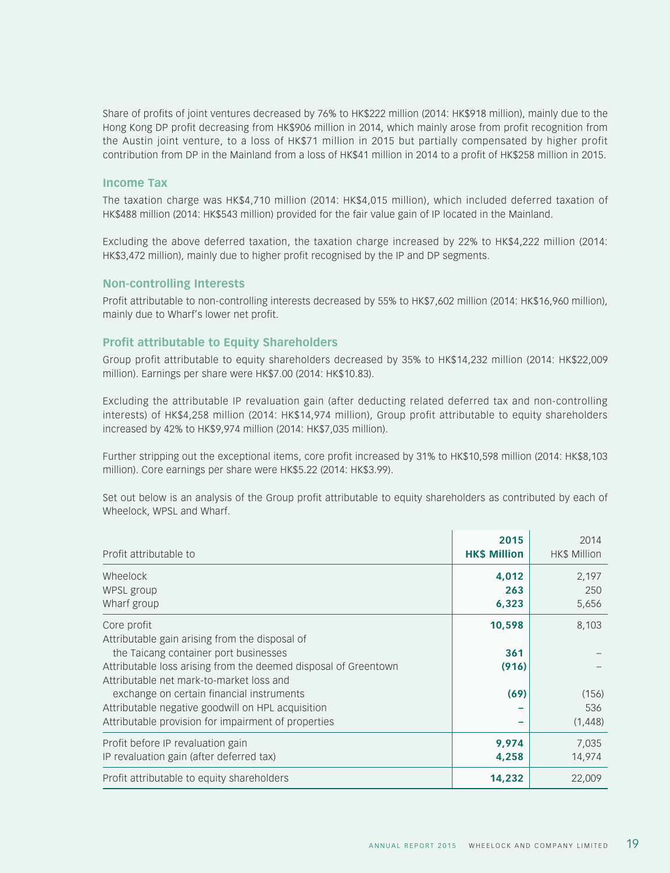Share of profits of joint ventures decreased by 76% to HK\$222 million (2014: HK\$918 million), mainly due to the Hong Kong DP profit decreasing from HK\$906 million in 2014, which mainly arose from profit recognition from the Austin joint venture, to a loss of HK\$71 million in 2015 but partially compensated by higher profit contribution from DP in the Mainland from a loss of HK\$41 million in 2014 to a profit of HK\$258 million in 2015.

#### **Income Tax**

The taxation charge was HK\$4,710 million (2014: HK\$4,015 million), which included deferred taxation of HK\$488 million (2014: HK\$543 million) provided for the fair value gain of IP located in the Mainland.

Excluding the above deferred taxation, the taxation charge increased by 22% to HK\$4,222 million (2014: HK\$3,472 million), mainly due to higher profit recognised by the IP and DP segments.

#### **Non-controlling Interests**

Profit attributable to non-controlling interests decreased by 55% to HK\$7,602 million (2014: HK\$16,960 million), mainly due to Wharf's lower net profit.

#### **Profit attributable to Equity Shareholders**

Group profit attributable to equity shareholders decreased by 35% to HK\$14,232 million (2014: HK\$22,009 million). Earnings per share were HK\$7.00 (2014: HK\$10.83).

Excluding the attributable IP revaluation gain (after deducting related deferred tax and non-controlling interests) of HK\$4,258 million (2014: HK\$14,974 million), Group profit attributable to equity shareholders increased by 42% to HK\$9,974 million (2014: HK\$7,035 million).

Further stripping out the exceptional items, core profit increased by 31% to HK\$10,598 million (2014: HK\$8,103 million). Core earnings per share were HK\$5.22 (2014: HK\$3.99).

Set out below is an analysis of the Group profit attributable to equity shareholders as contributed by each of Wheelock, WPSL and Wharf.

| Profit attributable to                                          | 2015<br><b>HK\$ Million</b> | 2014<br><b>HK\$ Million</b> |
|-----------------------------------------------------------------|-----------------------------|-----------------------------|
| Wheelock                                                        | 4,012                       | 2,197                       |
| WPSL group                                                      | 263                         | 250                         |
| Wharf group                                                     | 6,323                       | 5,656                       |
| Core profit                                                     | 10,598                      | 8,103                       |
| Attributable gain arising from the disposal of                  |                             |                             |
| the Taicang container port businesses                           | 361                         |                             |
| Attributable loss arising from the deemed disposal of Greentown | (916)                       |                             |
| Attributable net mark-to-market loss and                        |                             |                             |
| exchange on certain financial instruments                       | (69)                        | (156)                       |
| Attributable negative goodwill on HPL acquisition               |                             | 536                         |
| Attributable provision for impairment of properties             |                             | (1,448)                     |
| Profit before IP revaluation gain                               | 9,974                       | 7,035                       |
| IP revaluation gain (after deferred tax)                        | 4,258                       | 14,974                      |
| Profit attributable to equity shareholders                      | 14,232                      | 22,009                      |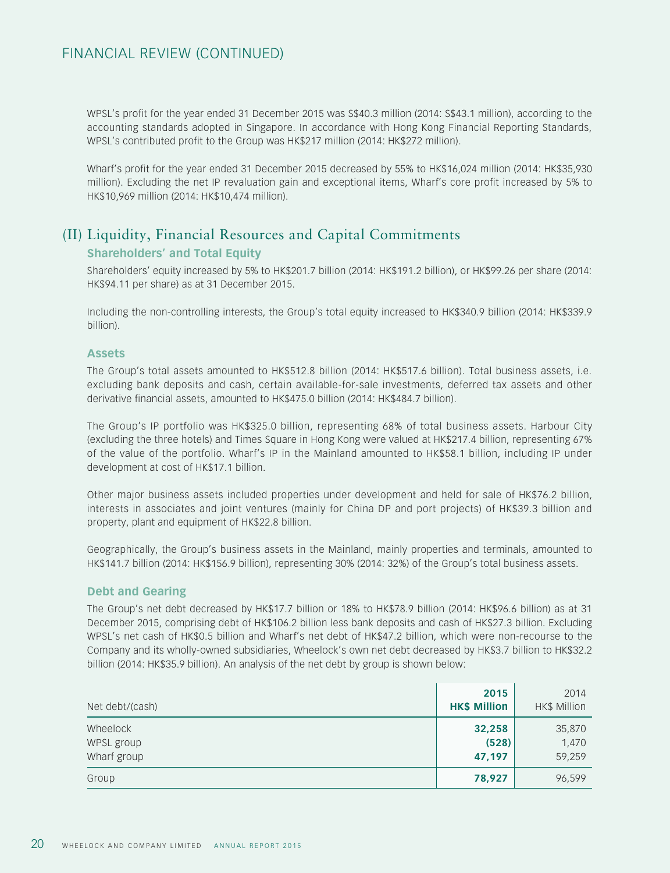WPSL's profit for the year ended 31 December 2015 was S\$40.3 million (2014: S\$43.1 million), according to the accounting standards adopted in Singapore. In accordance with Hong Kong Financial Reporting Standards, WPSL's contributed profit to the Group was HK\$217 million (2014: HK\$272 million).

Wharf's profit for the year ended 31 December 2015 decreased by 55% to HK\$16,024 million (2014: HK\$35,930 million). Excluding the net IP revaluation gain and exceptional items, Wharf's core profit increased by 5% to HK\$10,969 million (2014: HK\$10,474 million).

# (II) Liquidity, Financial Resources and Capital Commitments **Shareholders' and Total Equity**

Shareholders' equity increased by 5% to HK\$201.7 billion (2014: HK\$191.2 billion), or HK\$99.26 per share (2014: HK\$94.11 per share) as at 31 December 2015.

Including the non-controlling interests, the Group's total equity increased to HK\$340.9 billion (2014: HK\$339.9 billion).

#### **Assets**

The Group's total assets amounted to HK\$512.8 billion (2014: HK\$517.6 billion). Total business assets, i.e. excluding bank deposits and cash, certain available-for-sale investments, deferred tax assets and other derivative financial assets, amounted to HK\$475.0 billion (2014: HK\$484.7 billion).

The Group's IP portfolio was HK\$325.0 billion, representing 68% of total business assets. Harbour City (excluding the three hotels) and Times Square in Hong Kong were valued at HK\$217.4 billion, representing 67% of the value of the portfolio. Wharf's IP in the Mainland amounted to HK\$58.1 billion, including IP under development at cost of HK\$17.1 billion.

Other major business assets included properties under development and held for sale of HK\$76.2 billion, interests in associates and joint ventures (mainly for China DP and port projects) of HK\$39.3 billion and property, plant and equipment of HK\$22.8 billion.

Geographically, the Group's business assets in the Mainland, mainly properties and terminals, amounted to HK\$141.7 billion (2014: HK\$156.9 billion), representing 30% (2014: 32%) of the Group's total business assets.

## **Debt and Gearing**

The Group's net debt decreased by HK\$17.7 billion or 18% to HK\$78.9 billion (2014: HK\$96.6 billion) as at 31 December 2015, comprising debt of HK\$106.2 billion less bank deposits and cash of HK\$27.3 billion. Excluding WPSL's net cash of HK\$0.5 billion and Wharf's net debt of HK\$47.2 billion, which were non-recourse to the Company and its wholly-owned subsidiaries, Wheelock's own net debt decreased by HK\$3.7 billion to HK\$32.2 billion (2014: HK\$35.9 billion). An analysis of the net debt by group is shown below:

| Net debt/(cash)                       | 2015<br><b>HK\$ Million</b> | 2014<br>HK\$ Million      |
|---------------------------------------|-----------------------------|---------------------------|
| Wheelock<br>WPSL group<br>Wharf group | 32,258<br>(528)<br>47,197   | 35,870<br>1,470<br>59,259 |
| Group                                 | 78,927                      | 96,599                    |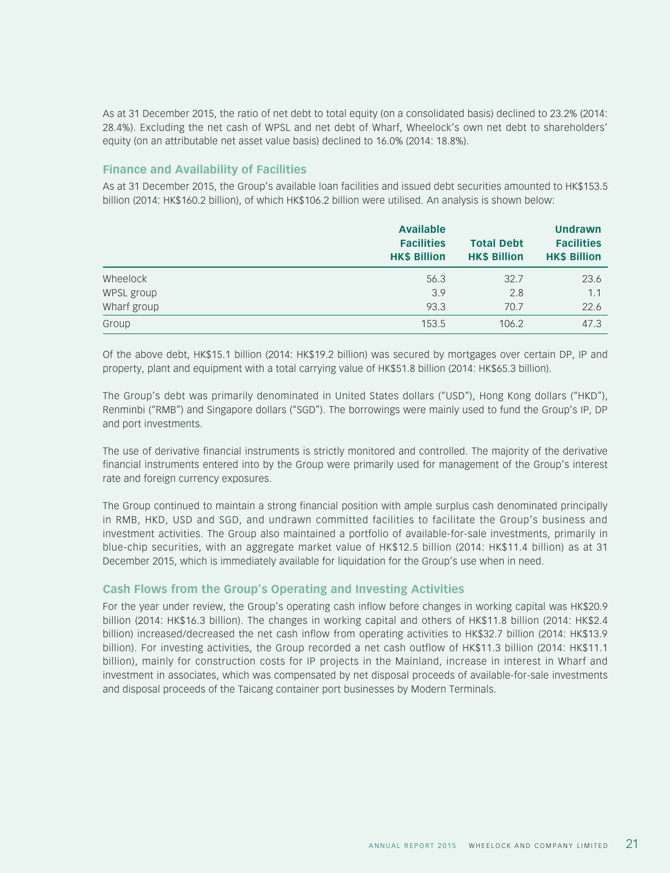As at 31 December 2015, the ratio of net debt to total equity (on a consolidated basis) declined to 23.2% (2014: 28.4%). Excluding the net cash of WPSL and net debt of Wharf, Wheelock's own net debt to shareholders' equity (on an attributable net asset value basis) declined to 16.0% (2014: 18.8%).

## **Finance and Availability of Facilities**

As at 31 December 2015, the Group's available loan facilities and issued debt securities amounted to HK\$153.5 billion (2014: HK\$160.2 billion), of which HK\$106.2 billion were utilised. An analysis is shown below:

|             | <b>Available</b><br><b>Facilities</b><br><b>HK\$ Billion</b> | <b>Total Debt</b><br><b>HK\$ Billion</b> | Undrawn<br><b>Facilities</b><br><b>HK\$ Billion</b> |
|-------------|--------------------------------------------------------------|------------------------------------------|-----------------------------------------------------|
| Wheelock    | 56.3                                                         | 32.7                                     | 23.6                                                |
| WPSL group  | 3.9                                                          | 2.8                                      | 1.1                                                 |
| Wharf group | 93.3                                                         | 70.7                                     | 22.6                                                |
| Group       | 153.5                                                        | 106.2                                    | 47.3                                                |

Of the above debt, HK\$15.1 billion (2014: HK\$19.2 billion) was secured by mortgages over certain DP, IP and property, plant and equipment with a total carrying value of HK\$51.8 billion (2014: HK\$65.3 billion).

The Group's debt was primarily denominated in United States dollars ("USD"), Hong Kong dollars ("HKD"), Renminbi ("RMB") and Singapore dollars ("SGD"). The borrowings were mainly used to fund the Group's IP, DP and port investments.

The use of derivative financial instruments is strictly monitored and controlled. The majority of the derivative financial instruments entered into by the Group were primarily used for management of the Group's interest rate and foreign currency exposures.

The Group continued to maintain a strong financial position with ample surplus cash denominated principally in RMB, HKD, USD and SGD, and undrawn committed facilities to facilitate the Group's business and investment activities. The Group also maintained a portfolio of available-for-sale investments, primarily in blue-chip securities, with an aggregate market value of HK\$12.5 billion (2014: HK\$11.4 billion) as at 31 December 2015, which is immediately available for liquidation for the Group's use when in need.

## **Cash Flows from the Group's Operating and Investing Activities**

For the year under review, the Group's operating cash inflow before changes in working capital was HK\$20.9 billion (2014: HK\$16.3 billion). The changes in working capital and others of HK\$11.8 billion (2014: HK\$2.4 billion) increased/decreased the net cash inflow from operating activities to HK\$32.7 billion (2014: HK\$13.9 billion). For investing activities, the Group recorded a net cash outflow of HK\$11.3 billion (2014: HK\$11.1 billion), mainly for construction costs for IP projects in the Mainland, increase in interest in Wharf and investment in associates, which was compensated by net disposal proceeds of available-for-sale investments and disposal proceeds of the Taicang container port businesses by Modern Terminals.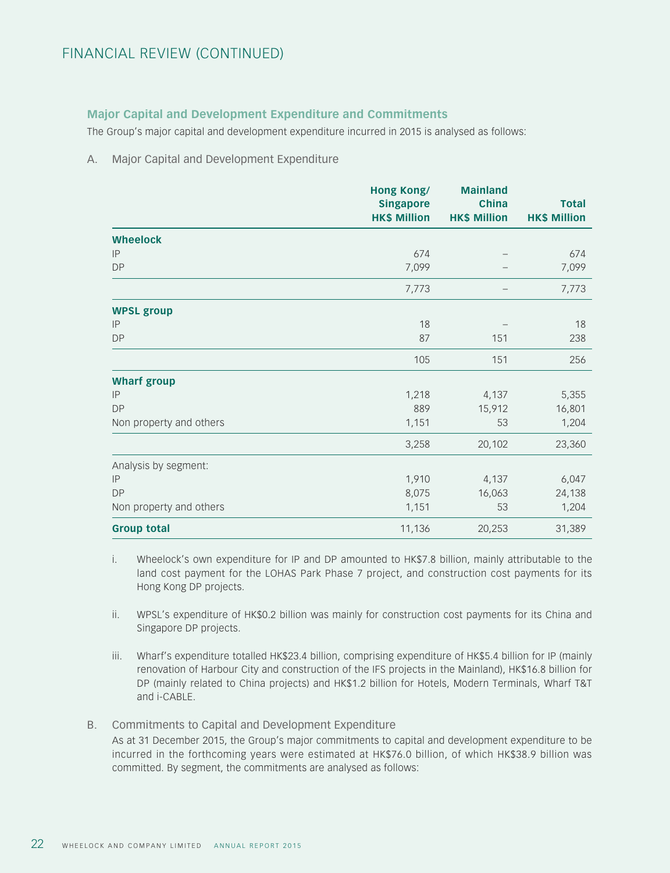## **Major Capital and Development Expenditure and Commitments**

The Group's major capital and development expenditure incurred in 2015 is analysed as follows:

#### A. Major Capital and Development Expenditure

|                         | Hong Kong/<br><b>Singapore</b><br><b>HK\$ Million</b> | <b>Mainland</b><br><b>China</b><br><b>HK\$ Million</b> | <b>Total</b><br><b>HK\$ Million</b> |
|-------------------------|-------------------------------------------------------|--------------------------------------------------------|-------------------------------------|
| <b>Wheelock</b>         |                                                       |                                                        |                                     |
| IP                      | 674                                                   |                                                        | 674                                 |
| <b>DP</b>               | 7,099                                                 |                                                        | 7,099                               |
|                         | 7,773                                                 |                                                        | 7,773                               |
| <b>WPSL group</b>       |                                                       |                                                        |                                     |
| IP                      | 18                                                    |                                                        | 18                                  |
| <b>DP</b>               | 87                                                    | 151                                                    | 238                                 |
|                         | 105                                                   | 151                                                    | 256                                 |
| <b>Wharf group</b>      |                                                       |                                                        |                                     |
| IP                      | 1,218                                                 | 4,137                                                  | 5,355                               |
| <b>DP</b>               | 889                                                   | 15,912                                                 | 16,801                              |
| Non property and others | 1,151                                                 | 53                                                     | 1,204                               |
|                         | 3,258                                                 | 20,102                                                 | 23,360                              |
| Analysis by segment:    |                                                       |                                                        |                                     |
| IP                      | 1,910                                                 | 4,137                                                  | 6,047                               |
| <b>DP</b>               | 8,075                                                 | 16,063                                                 | 24,138                              |
| Non property and others | 1,151                                                 | 53                                                     | 1,204                               |
| <b>Group total</b>      | 11,136                                                | 20,253                                                 | 31,389                              |

- i. Wheelock's own expenditure for IP and DP amounted to HK\$7.8 billion, mainly attributable to the land cost payment for the LOHAS Park Phase 7 project, and construction cost payments for its Hong Kong DP projects.
- ii. WPSL's expenditure of HK\$0.2 billion was mainly for construction cost payments for its China and Singapore DP projects.
- iii. Wharf's expenditure totalled HK\$23.4 billion, comprising expenditure of HK\$5.4 billion for IP (mainly renovation of Harbour City and construction of the IFS projects in the Mainland), HK\$16.8 billion for DP (mainly related to China projects) and HK\$1.2 billion for Hotels, Modern Terminals, Wharf T&T and i-CABLE.
- B. Commitments to Capital and Development Expenditure

As at 31 December 2015, the Group's major commitments to capital and development expenditure to be incurred in the forthcoming years were estimated at HK\$76.0 billion, of which HK\$38.9 billion was committed. By segment, the commitments are analysed as follows: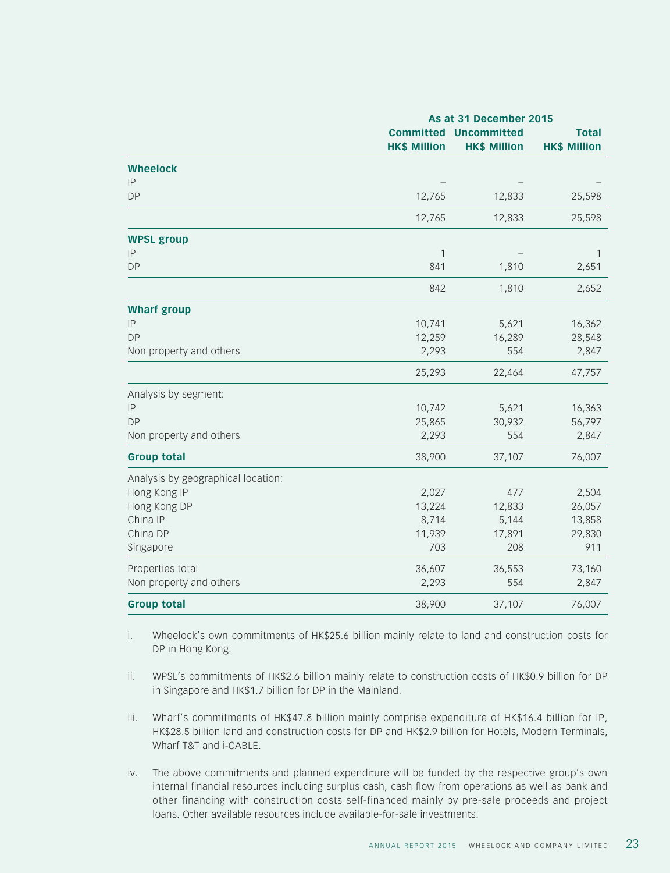|                                    | As at 31 December 2015                  |                                    |                                     |
|------------------------------------|-----------------------------------------|------------------------------------|-------------------------------------|
|                                    | <b>Committed</b><br><b>HK\$ Million</b> | Uncommitted<br><b>HK\$ Million</b> | <b>Total</b><br><b>HK\$ Million</b> |
| <b>Wheelock</b>                    |                                         |                                    |                                     |
| IP                                 |                                         |                                    |                                     |
| <b>DP</b>                          | 12,765                                  | 12,833                             | 25,598                              |
|                                    | 12,765                                  | 12,833                             | 25,598                              |
| <b>WPSL group</b>                  |                                         |                                    |                                     |
| IP                                 | 1                                       |                                    | 1                                   |
| <b>DP</b>                          | 841                                     | 1,810                              | 2,651                               |
|                                    | 842                                     | 1,810                              | 2,652                               |
| <b>Wharf group</b>                 |                                         |                                    |                                     |
| IP                                 | 10,741                                  | 5,621                              | 16,362                              |
| <b>DP</b>                          | 12,259                                  | 16,289                             | 28,548                              |
| Non property and others            | 2,293                                   | 554                                | 2,847                               |
|                                    | 25,293                                  | 22,464                             | 47,757                              |
| Analysis by segment:               |                                         |                                    |                                     |
| IP                                 | 10,742                                  | 5,621                              | 16,363                              |
| <b>DP</b>                          | 25,865                                  | 30,932                             | 56,797                              |
| Non property and others            | 2,293                                   | 554                                | 2,847                               |
| <b>Group total</b>                 | 38,900                                  | 37,107                             | 76,007                              |
| Analysis by geographical location: |                                         |                                    |                                     |
| Hong Kong IP                       | 2,027                                   | 477                                | 2,504                               |
| Hong Kong DP                       | 13,224                                  | 12,833                             | 26,057                              |
| China IP                           | 8,714                                   | 5,144                              | 13,858                              |
| China DP                           | 11,939                                  | 17,891                             | 29,830                              |
| Singapore                          | 703                                     | 208                                | 911                                 |
| Properties total                   | 36,607                                  | 36,553                             | 73,160                              |
| Non property and others            | 2,293                                   | 554                                | 2,847                               |
| <b>Group total</b>                 | 38,900                                  | 37,107                             | 76,007                              |

- i. Wheelock's own commitments of HK\$25.6 billion mainly relate to land and construction costs for DP in Hong Kong.
- ii. WPSL's commitments of HK\$2.6 billion mainly relate to construction costs of HK\$0.9 billion for DP in Singapore and HK\$1.7 billion for DP in the Mainland.
- iii. Wharf's commitments of HK\$47.8 billion mainly comprise expenditure of HK\$16.4 billion for IP, HK\$28.5 billion land and construction costs for DP and HK\$2.9 billion for Hotels, Modern Terminals, Wharf T&T and i-CABLE.
- iv. The above commitments and planned expenditure will be funded by the respective group's own internal financial resources including surplus cash, cash flow from operations as well as bank and other financing with construction costs self-financed mainly by pre-sale proceeds and project loans. Other available resources include available-for-sale investments.